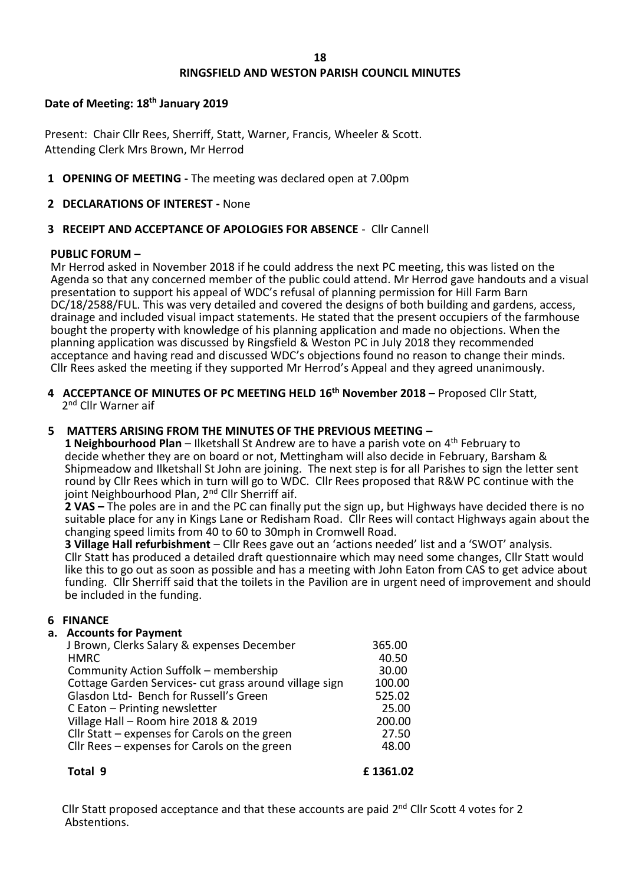# **RINGSFIELD AND WESTON PARISH COUNCIL MINUTES**

## **Date of Meeting: 18th January 2019**

Present: Chair Cllr Rees, Sherriff, Statt, Warner, Francis, Wheeler & Scott. Attending Clerk Mrs Brown, Mr Herrod

**1 OPENING OF MEETING -** The meeting was declared open at 7.00pm

## **2 DECLARATIONS OF INTEREST -** None

## **3 RECEIPT AND ACCEPTANCE OF APOLOGIES FOR ABSENCE** - Cllr Cannell

### **PUBLIC FORUM –**

 Mr Herrod asked in November 2018 if he could address the next PC meeting, this was listed on the Agenda so that any concerned member of the public could attend. Mr Herrod gave handouts and a visual presentation to support his appeal of WDC's refusal of planning permission for Hill Farm Barn DC/18/2588/FUL. This was very detailed and covered the designs of both building and gardens, access, drainage and included visual impact statements. He stated that the present occupiers of the farmhouse bought the property with knowledge of his planning application and made no objections. When the planning application was discussed by Ringsfield & Weston PC in July 2018 they recommended acceptance and having read and discussed WDC's objections found no reason to change their minds. Cllr Rees asked the meeting if they supported Mr Herrod's Appeal and they agreed unanimously.

**4 ACCEPTANCE OF MINUTES OF PC MEETING HELD 16th November 2018 –** Proposed Cllr Statt, 2<sup>nd</sup> Cllr Warner aif

### **5 MATTERS ARISING FROM THE MINUTES OF THE PREVIOUS MEETING –**

 **1 Neighbourhood Plan** – Ilketshall St Andrew are to have a parish vote on 4th February to decide whether they are on board or not, Mettingham will also decide in February, Barsham & Shipmeadow and Ilketshall St John are joining. The next step is for all Parishes to sign the letter sent round by Cllr Rees which in turn will go to WDC. Cllr Rees proposed that R&W PC continue with the joint Neighbourhood Plan, 2<sup>nd</sup> Cllr Sherriff aif.

 **2 VAS –** The poles are in and the PC can finally put the sign up, but Highways have decided there is no suitable place for any in Kings Lane or Redisham Road. Cllr Rees will contact Highways again about the changing speed limits from 40 to 60 to 30mph in Cromwell Road.

 **3 Village Hall refurbishment** – Cllr Rees gave out an 'actions needed' list and a 'SWOT' analysis. Cllr Statt has produced a detailed draft questionnaire which may need some changes, Cllr Statt would like this to go out as soon as possible and has a meeting with John Eaton from CAS to get advice about funding. Cllr Sherriff said that the toilets in the Pavilion are in urgent need of improvement and should be included in the funding.

### **6 FINANCE**

### **a. Accounts for Payment**

| J Brown, Clerks Salary & expenses December             | 365.00 |
|--------------------------------------------------------|--------|
| <b>HMRC</b>                                            | 40.50  |
| Community Action Suffolk - membership                  | 30.00  |
| Cottage Garden Services- cut grass around village sign | 100.00 |
| Glasdon Ltd- Bench for Russell's Green                 | 525.02 |
| C Eaton - Printing newsletter                          | 25.00  |
| Village Hall - Room hire 2018 & 2019                   | 200.00 |
| Cllr Statt - expenses for Carols on the green          | 27.50  |
| Cllr Rees - expenses for Carols on the green           | 48.00  |
|                                                        |        |
|                                                        |        |

**Total 9 £ 1361.02**

Cllr Statt proposed acceptance and that these accounts are paid  $2^{nd}$  Cllr Scott 4 votes for 2 Abstentions.